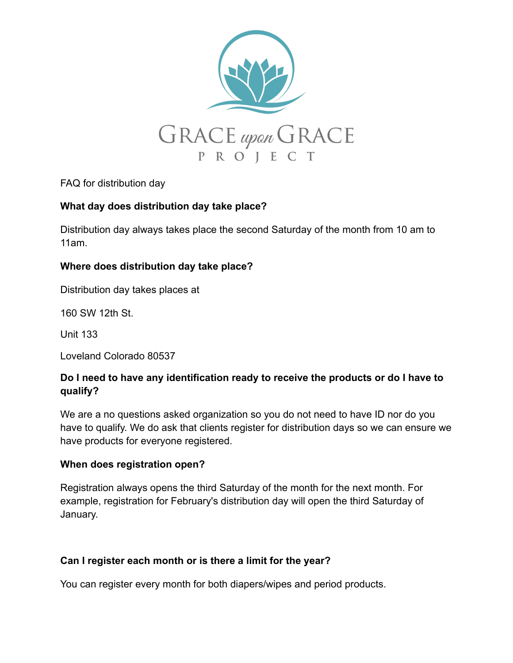

FAQ for distribution day

# **What day does distribution day take place?**

Distribution day always takes place the second Saturday of the month from 10 am to 11am.

# **Where does distribution day take place?**

Distribution day takes places at

160 SW 12th St.

Unit 133

Loveland Colorado 80537

# **Do I need to have any identification ready to receive the products or do I have to qualify?**

We are a no questions asked organization so you do not need to have ID nor do you have to qualify. We do ask that clients register for distribution days so we can ensure we have products for everyone registered.

## **When does registration open?**

Registration always opens the third Saturday of the month for the next month. For example, registration for February's distribution day will open the third Saturday of January.

## **Can I register each month or is there a limit for the year?**

You can register every month for both diapers/wipes and period products.